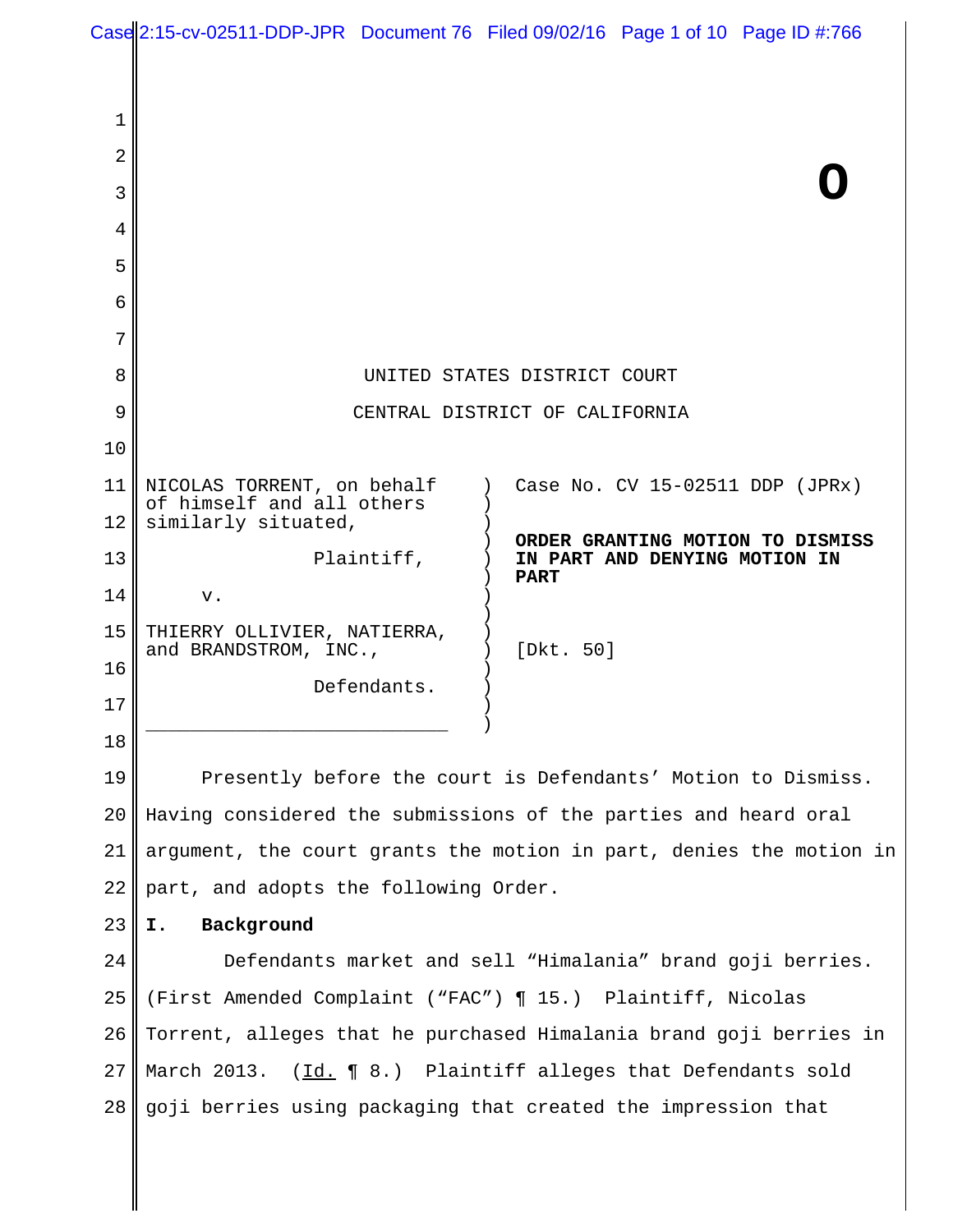|    |                                                                     | Case 2:15-cv-02511-DDP-JPR Document 76 Filed 09/02/16 Page 1 of 10 Page ID #:766 |
|----|---------------------------------------------------------------------|----------------------------------------------------------------------------------|
|    |                                                                     |                                                                                  |
| 1  |                                                                     |                                                                                  |
| 2  |                                                                     |                                                                                  |
| 3  |                                                                     |                                                                                  |
| 4  |                                                                     |                                                                                  |
| 5  |                                                                     |                                                                                  |
| 6  |                                                                     |                                                                                  |
| 7  |                                                                     |                                                                                  |
| 8  | UNITED STATES DISTRICT COURT                                        |                                                                                  |
| 9  | CENTRAL DISTRICT OF CALIFORNIA                                      |                                                                                  |
| 10 |                                                                     |                                                                                  |
| 11 | NICOLAS TORRENT, on behalf<br>of himself and all others             | Case No. CV 15-02511 DDP (JPRx)                                                  |
| 12 | similarly situated,                                                 | ORDER GRANTING MOTION TO DISMISS                                                 |
| 13 | Plaintiff,                                                          | IN PART AND DENYING MOTION IN<br><b>PART</b>                                     |
| 14 | v.                                                                  |                                                                                  |
| 15 | THIERRY OLLIVIER, NATIERRA,<br>and BRANDSTROM, INC.,                | [Dkt. 50]                                                                        |
| 16 | Defendants.                                                         |                                                                                  |
| 17 |                                                                     |                                                                                  |
| 18 |                                                                     |                                                                                  |
| 19 | Presently before the court is Defendants' Motion to Dismiss.        |                                                                                  |
| 20 | Having considered the submissions of the parties and heard oral     |                                                                                  |
| 21 | argument, the court grants the motion in part, denies the motion in |                                                                                  |
| 22 | part, and adopts the following Order.                               |                                                                                  |
| 23 | Background<br>Ι.                                                    |                                                                                  |
| 24 | Defendants market and sell "Himalania" brand goji berries.          |                                                                                  |
| 25 | (First Amended Complaint ("FAC") ¶ 15.) Plaintiff, Nicolas          |                                                                                  |
| 26 | Torrent, alleges that he purchased Himalania brand goji berries in  |                                                                                  |
| 27 | March 2013. (Id. 18.) Plaintiff alleges that Defendants sold        |                                                                                  |
| 28 |                                                                     | goji berries using packaging that created the impression that                    |
|    |                                                                     |                                                                                  |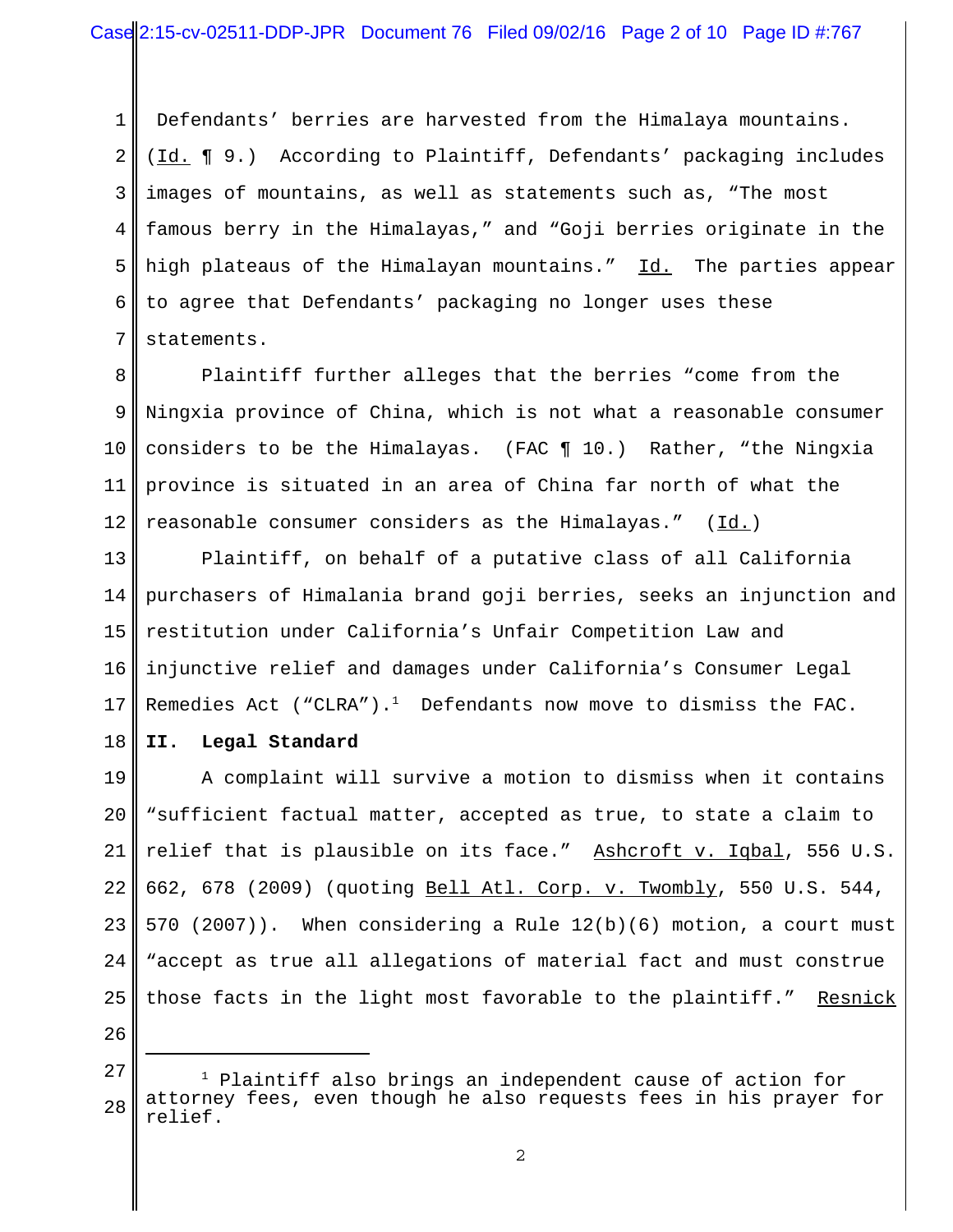1 2 3 4 5 6 7 Defendants' berries are harvested from the Himalaya mountains. (Id. ¶ 9.) According to Plaintiff, Defendants' packaging includes images of mountains, as well as statements such as, "The most famous berry in the Himalayas," and "Goji berries originate in the high plateaus of the Himalayan mountains." Id. The parties appear to agree that Defendants' packaging no longer uses these statements.

8 9 10 11 12 Plaintiff further alleges that the berries "come from the Ningxia province of China, which is not what a reasonable consumer considers to be the Himalayas. (FAC ¶ 10.) Rather, "the Ningxia province is situated in an area of China far north of what the reasonable consumer considers as the Himalayas." (Id.)

13 14 15 16 17 Plaintiff, on behalf of a putative class of all California purchasers of Himalania brand goji berries, seeks an injunction and restitution under California's Unfair Competition Law and injunctive relief and damages under California's Consumer Legal Remedies Act ("CLRA"). $^1$  Defendants now move to dismiss the FAC.

18 **II. Legal Standard**

19 20 21 22 23 24 25 A complaint will survive a motion to dismiss when it contains "sufficient factual matter, accepted as true, to state a claim to relief that is plausible on its face." Ashcroft v. Iqbal, 556 U.S. 662, 678 (2009) (quoting Bell Atl. Corp. v. Twombly, 550 U.S. 544, 570 (2007)). When considering a Rule 12(b)(6) motion, a court must "accept as true all allegations of material fact and must construe those facts in the light most favorable to the plaintiff." Resnick

<sup>28</sup> 1 Plaintiff also brings an independent cause of action for attorney fees, even though he also requests fees in his prayer for relief.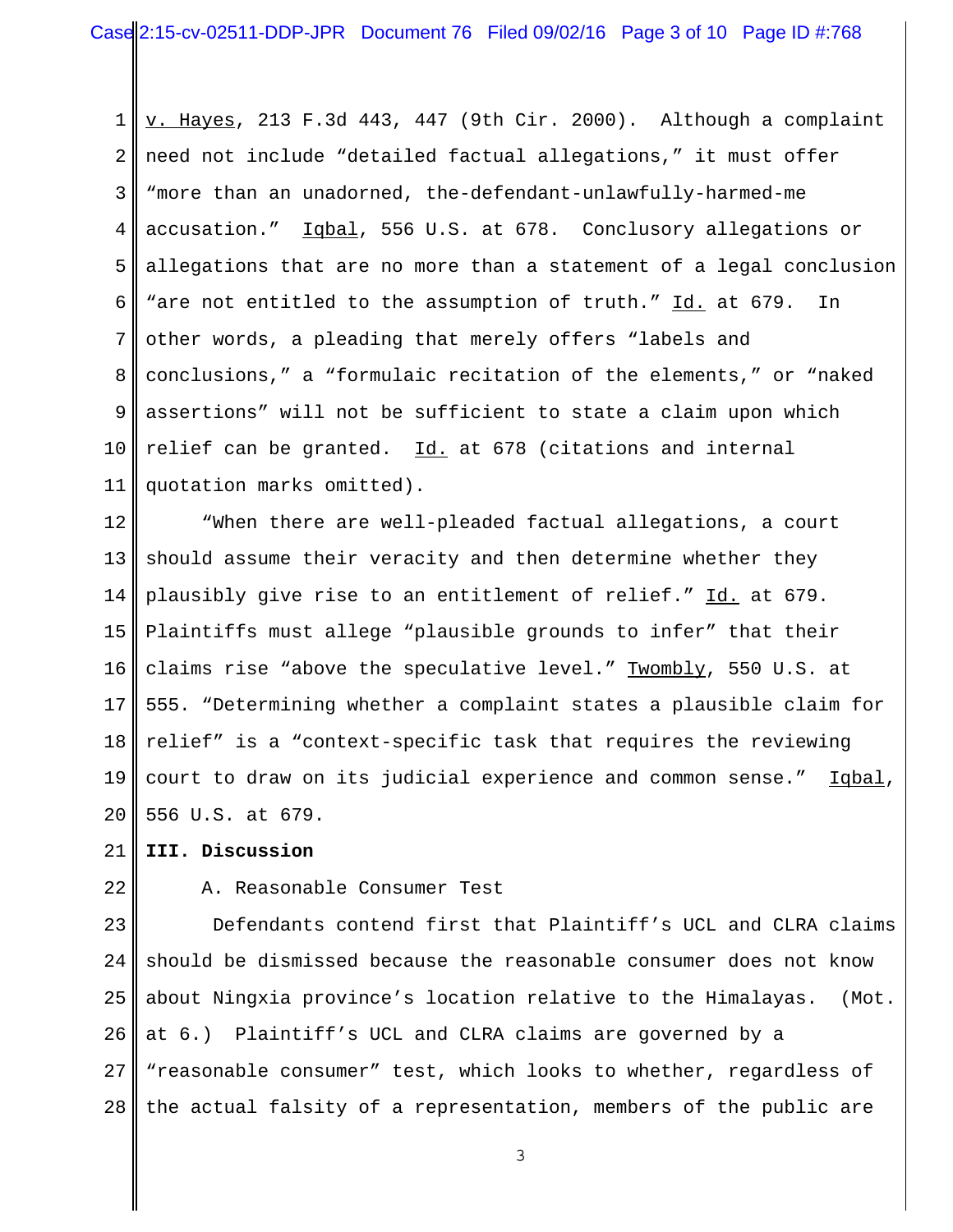1 2 3 4 5 6 7 8 9 10 11 v. Hayes, 213 F.3d 443, 447 (9th Cir. 2000). Although a complaint need not include "detailed factual allegations," it must offer "more than an unadorned, the-defendant-unlawfully-harmed-me accusation." Iqbal, 556 U.S. at 678. Conclusory allegations or allegations that are no more than a statement of a legal conclusion "are not entitled to the assumption of truth." Id. at 679. In other words, a pleading that merely offers "labels and conclusions," a "formulaic recitation of the elements," or "naked assertions" will not be sufficient to state a claim upon which relief can be granted.  $Id.$  at 678 (citations and internal quotation marks omitted).

12 13 14 15 16 17 18 19 20 "When there are well-pleaded factual allegations, a court should assume their veracity and then determine whether they plausibly give rise to an entitlement of relief." Id. at 679. Plaintiffs must allege "plausible grounds to infer" that their claims rise "above the speculative level." Twombly, 550 U.S. at 555. "Determining whether a complaint states a plausible claim for relief" is a "context-specific task that requires the reviewing court to draw on its judicial experience and common sense." Iqbal, 556 U.S. at 679.

#### 21 **III. Discussion**

22

#### A. Reasonable Consumer Test

23 24 25 26 27 28 Defendants contend first that Plaintiff's UCL and CLRA claims should be dismissed because the reasonable consumer does not know about Ningxia province's location relative to the Himalayas. (Mot. at 6.) Plaintiff's UCL and CLRA claims are governed by a "reasonable consumer" test, which looks to whether, regardless of the actual falsity of a representation, members of the public are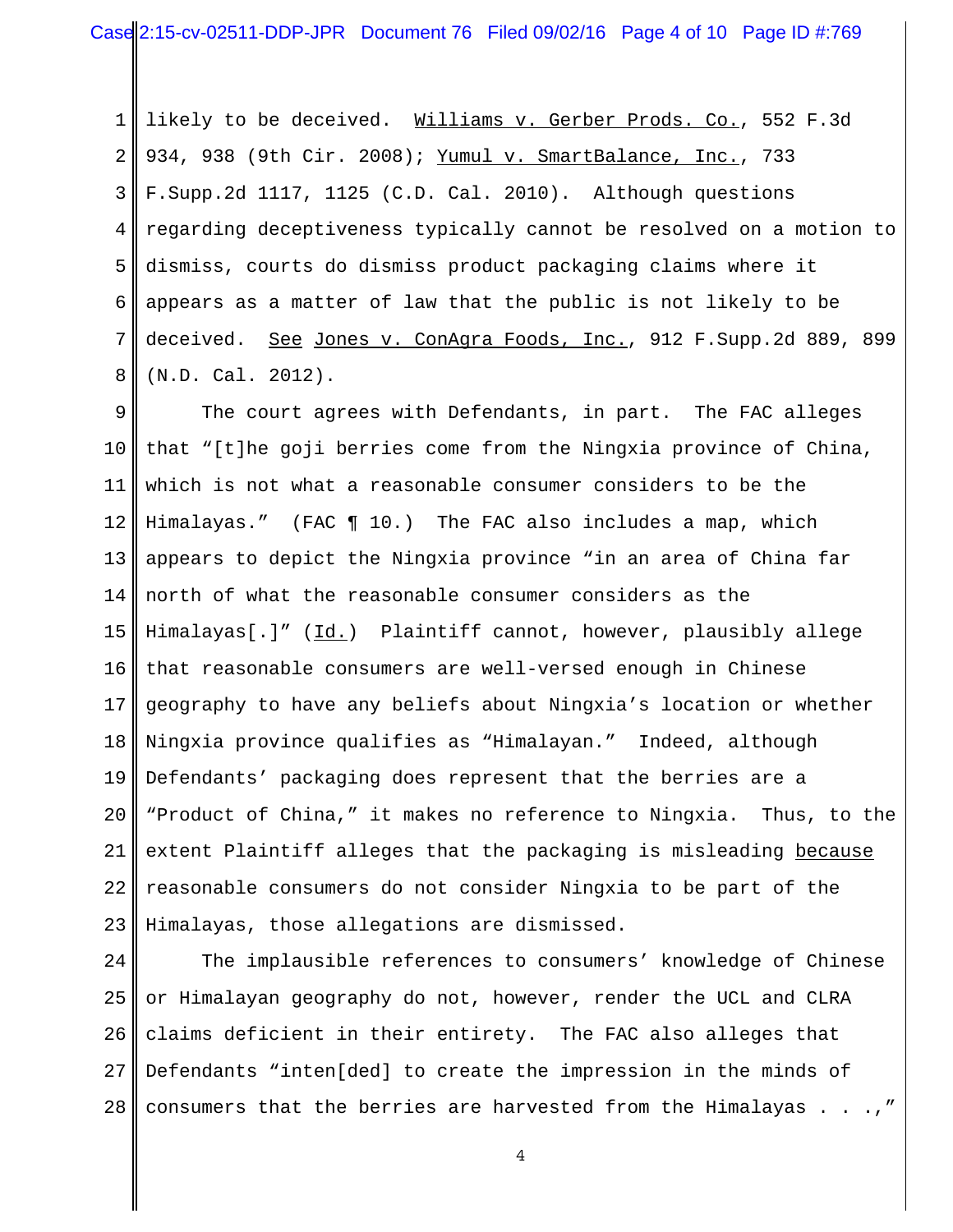1 2 3 4 5 6 7 8 likely to be deceived. Williams v. Gerber Prods. Co., 552 F.3d 934, 938 (9th Cir. 2008); Yumul v. SmartBalance, Inc., 733 F.Supp.2d 1117, 1125 (C.D. Cal. 2010). Although questions regarding deceptiveness typically cannot be resolved on a motion to dismiss, courts do dismiss product packaging claims where it appears as a matter of law that the public is not likely to be deceived. See Jones v. ConAgra Foods, Inc., 912 F. Supp. 2d 889, 899 (N.D. Cal. 2012).

9 10 11 12 13 14 15 16 17 18 19 20 21 22 23 The court agrees with Defendants, in part. The FAC alleges that "[t]he goji berries come from the Ningxia province of China, which is not what a reasonable consumer considers to be the Himalayas." (FAC ¶ 10.) The FAC also includes a map, which appears to depict the Ningxia province "in an area of China far north of what the reasonable consumer considers as the Himalayas[.]" (Id.) Plaintiff cannot, however, plausibly allege that reasonable consumers are well-versed enough in Chinese geography to have any beliefs about Ningxia's location or whether Ningxia province qualifies as "Himalayan." Indeed, although Defendants' packaging does represent that the berries are a "Product of China," it makes no reference to Ningxia. Thus, to the extent Plaintiff alleges that the packaging is misleading because reasonable consumers do not consider Ningxia to be part of the Himalayas, those allegations are dismissed.

24 25 26 27 28 The implausible references to consumers' knowledge of Chinese or Himalayan geography do not, however, render the UCL and CLRA claims deficient in their entirety. The FAC also alleges that Defendants "inten[ded] to create the impression in the minds of consumers that the berries are harvested from the Himalayas  $\ldots$ ,"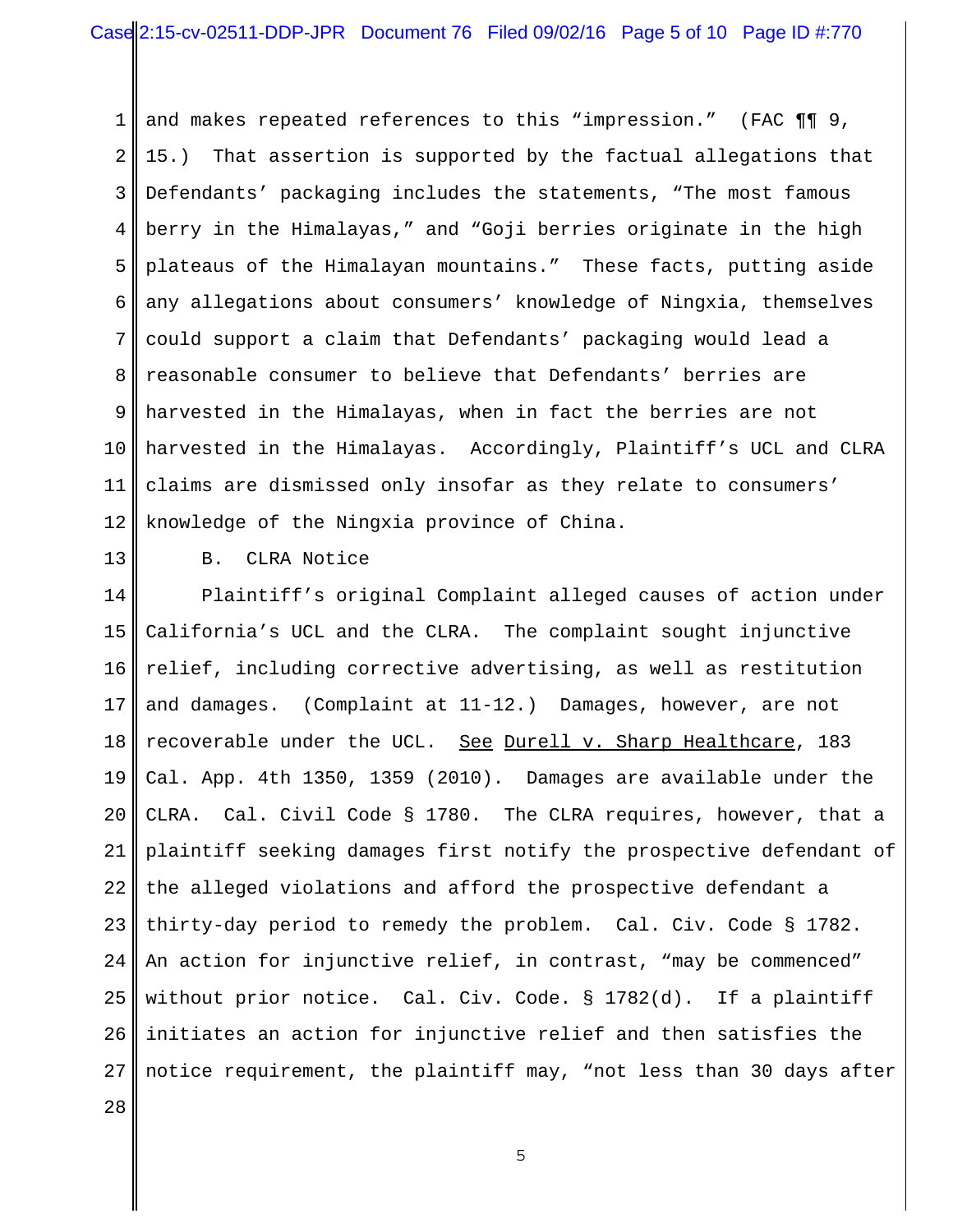1 2 3 4 5 6 7 8 9 10 11 12 and makes repeated references to this "impression." (FAC  $\P\P$ 9, 15.) That assertion is supported by the factual allegations that Defendants' packaging includes the statements, "The most famous berry in the Himalayas," and "Goji berries originate in the high plateaus of the Himalayan mountains." These facts, putting aside any allegations about consumers' knowledge of Ningxia, themselves could support a claim that Defendants' packaging would lead a reasonable consumer to believe that Defendants' berries are harvested in the Himalayas, when in fact the berries are not harvested in the Himalayas. Accordingly, Plaintiff's UCL and CLRA claims are dismissed only insofar as they relate to consumers' knowledge of the Ningxia province of China.

13

B. CLRA Notice

14 15 16 17 18 19 20 21 22 23 24 25 26 27 28 Plaintiff's original Complaint alleged causes of action under California's UCL and the CLRA. The complaint sought injunctive relief, including corrective advertising, as well as restitution and damages. (Complaint at 11-12.) Damages, however, are not recoverable under the UCL. See Durell v. Sharp Healthcare, 183 Cal. App. 4th 1350, 1359 (2010). Damages are available under the CLRA. Cal. Civil Code § 1780. The CLRA requires, however, that a plaintiff seeking damages first notify the prospective defendant of the alleged violations and afford the prospective defendant a thirty-day period to remedy the problem. Cal. Civ. Code § 1782. An action for injunctive relief, in contrast, "may be commenced" without prior notice. Cal. Civ. Code. § 1782(d). If a plaintiff initiates an action for injunctive relief and then satisfies the notice requirement, the plaintiff may, "not less than 30 days after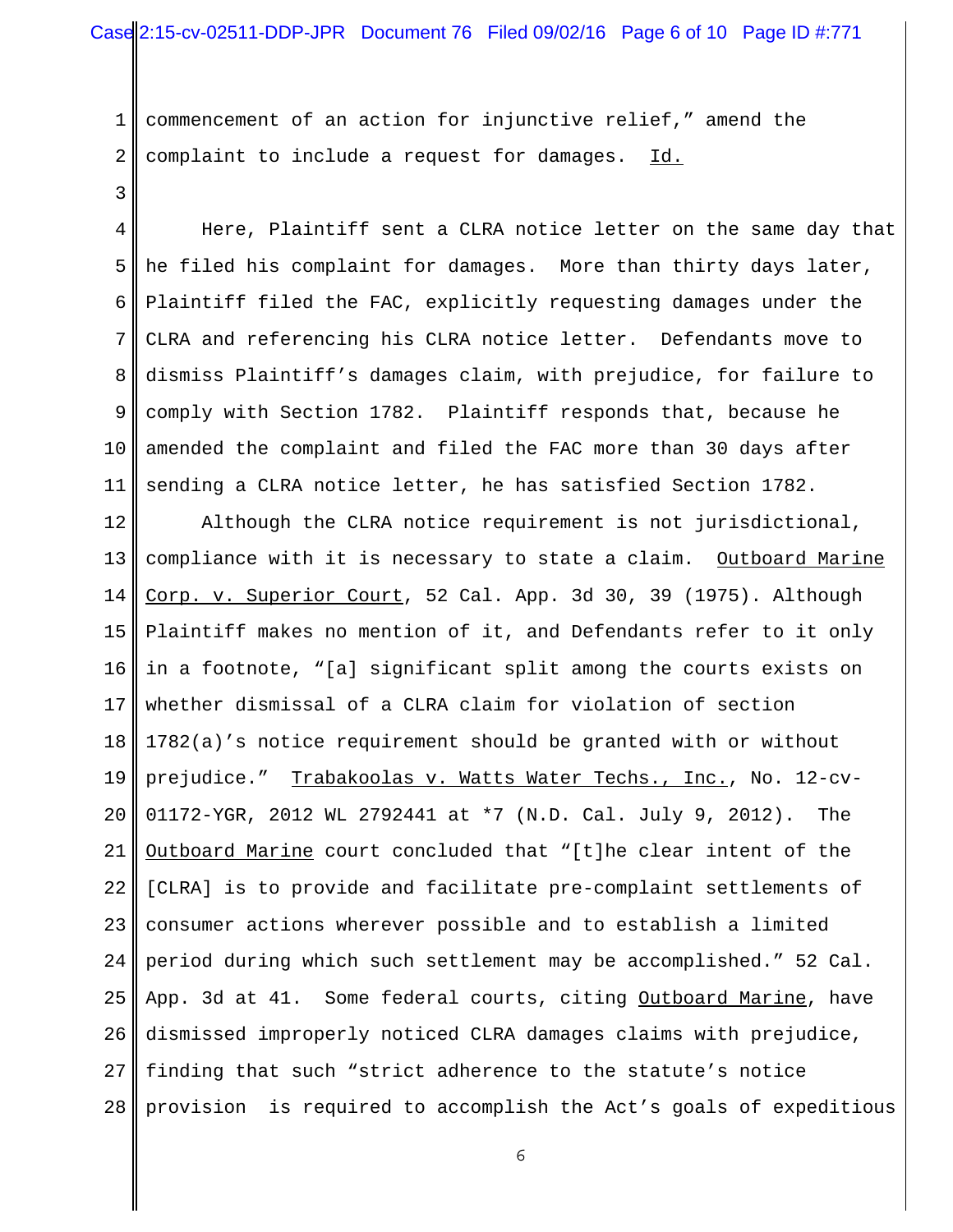## Case 2:15-cv-02511-DDP-JPR Document 76 Filed 09/02/16 Page 6 of 10 Page ID #:771

1 2 commencement of an action for injunctive relief," amend the complaint to include a request for damages. Id.

3

4 5 6 7 8 9 10 11 Here, Plaintiff sent a CLRA notice letter on the same day that he filed his complaint for damages. More than thirty days later, Plaintiff filed the FAC, explicitly requesting damages under the CLRA and referencing his CLRA notice letter. Defendants move to dismiss Plaintiff's damages claim, with prejudice, for failure to comply with Section 1782. Plaintiff responds that, because he amended the complaint and filed the FAC more than 30 days after sending a CLRA notice letter, he has satisfied Section 1782.

12 13 14 15 16 17 18 19 20 21 22 23 24 25 26 27 28 Although the CLRA notice requirement is not jurisdictional, compliance with it is necessary to state a claim. Outboard Marine Corp. v. Superior Court, 52 Cal. App. 3d 30, 39 (1975). Although Plaintiff makes no mention of it, and Defendants refer to it only in a footnote, "[a] significant split among the courts exists on whether dismissal of a CLRA claim for violation of section 1782(a)'s notice requirement should be granted with or without prejudice." Trabakoolas v. Watts Water Techs., Inc., No. 12-cv-01172-YGR, 2012 WL 2792441 at \*7 (N.D. Cal. July 9, 2012). The Outboard Marine court concluded that "[t]he clear intent of the [CLRA] is to provide and facilitate pre-complaint settlements of consumer actions wherever possible and to establish a limited period during which such settlement may be accomplished." 52 Cal. App. 3d at 41. Some federal courts, citing Outboard Marine, have dismissed improperly noticed CLRA damages claims with prejudice, finding that such "strict adherence to the statute's notice provision is required to accomplish the Act's goals of expeditious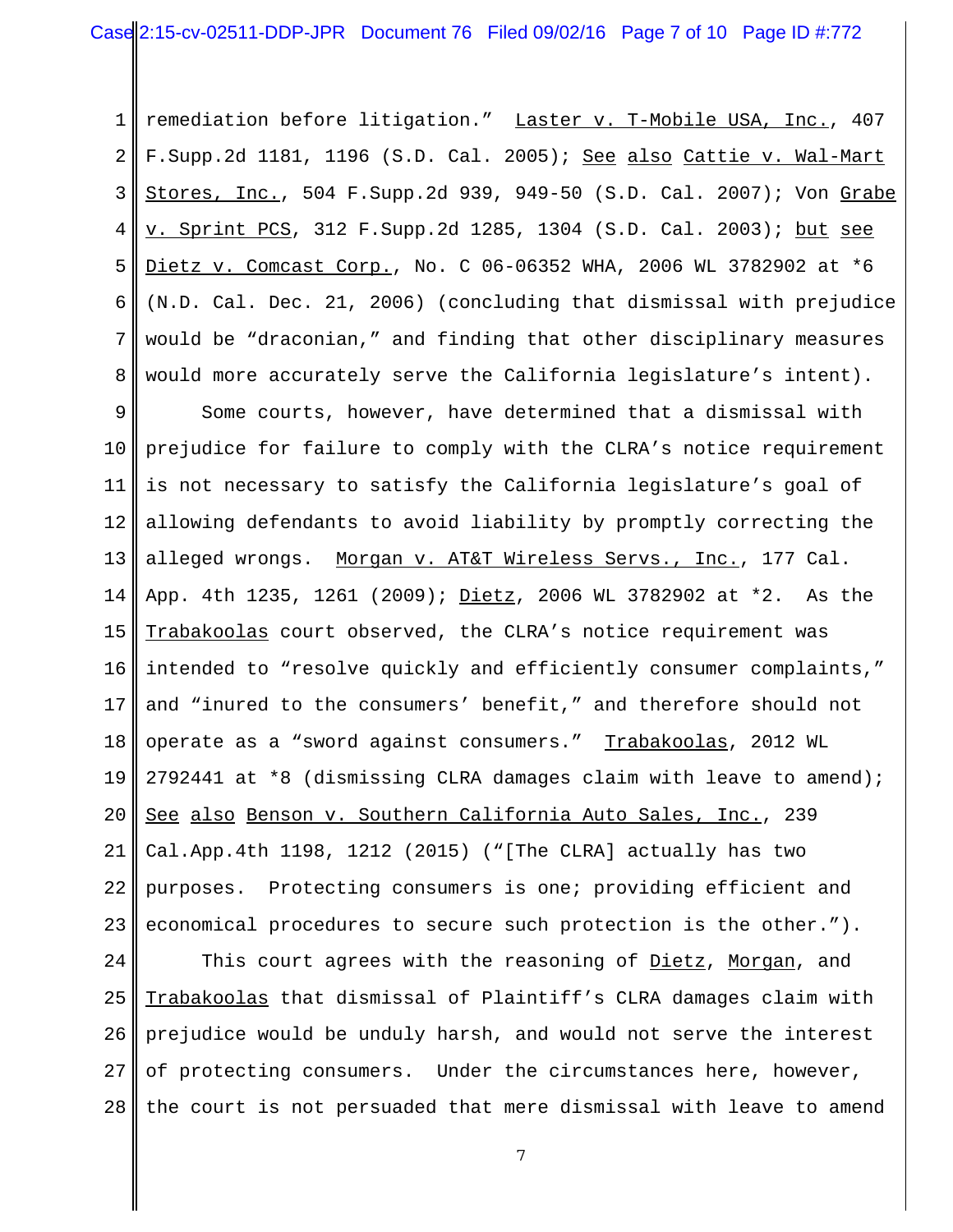1 2 3 4 5 6 7 8 remediation before litigation." Laster v. T-Mobile USA, Inc., 407 F.Supp.2d 1181, 1196 (S.D. Cal. 2005); See also Cattie v. Wal-Mart Stores, Inc., 504 F.Supp.2d 939, 949-50 (S.D. Cal. 2007); Von Grabe v. Sprint PCS, 312 F.Supp.2d 1285, 1304 (S.D. Cal. 2003); but see Dietz v. Comcast Corp., No. C 06-06352 WHA, 2006 WL 3782902 at \*6 (N.D. Cal. Dec. 21, 2006) (concluding that dismissal with prejudice would be "draconian," and finding that other disciplinary measures would more accurately serve the California legislature's intent).

9 10 11 12 13 14 15 16 17 18 19 20 21 22 23 Some courts, however, have determined that a dismissal with prejudice for failure to comply with the CLRA's notice requirement is not necessary to satisfy the California legislature's goal of allowing defendants to avoid liability by promptly correcting the alleged wrongs. Morgan v. AT&T Wireless Servs., Inc., 177 Cal. App. 4th 1235, 1261 (2009); Dietz, 2006 WL 3782902 at \*2. As the Trabakoolas court observed, the CLRA's notice requirement was intended to "resolve quickly and efficiently consumer complaints," and "inured to the consumers' benefit," and therefore should not operate as a "sword against consumers." Trabakoolas, 2012 WL 2792441 at \*8 (dismissing CLRA damages claim with leave to amend); See also Benson v. Southern California Auto Sales, Inc., 239 Cal.App.4th 1198, 1212 (2015) ("[The CLRA] actually has two purposes. Protecting consumers is one; providing efficient and economical procedures to secure such protection is the other.").

24 25 26 27 28 This court agrees with the reasoning of Dietz, Morgan, and Trabakoolas that dismissal of Plaintiff's CLRA damages claim with prejudice would be unduly harsh, and would not serve the interest of protecting consumers. Under the circumstances here, however, the court is not persuaded that mere dismissal with leave to amend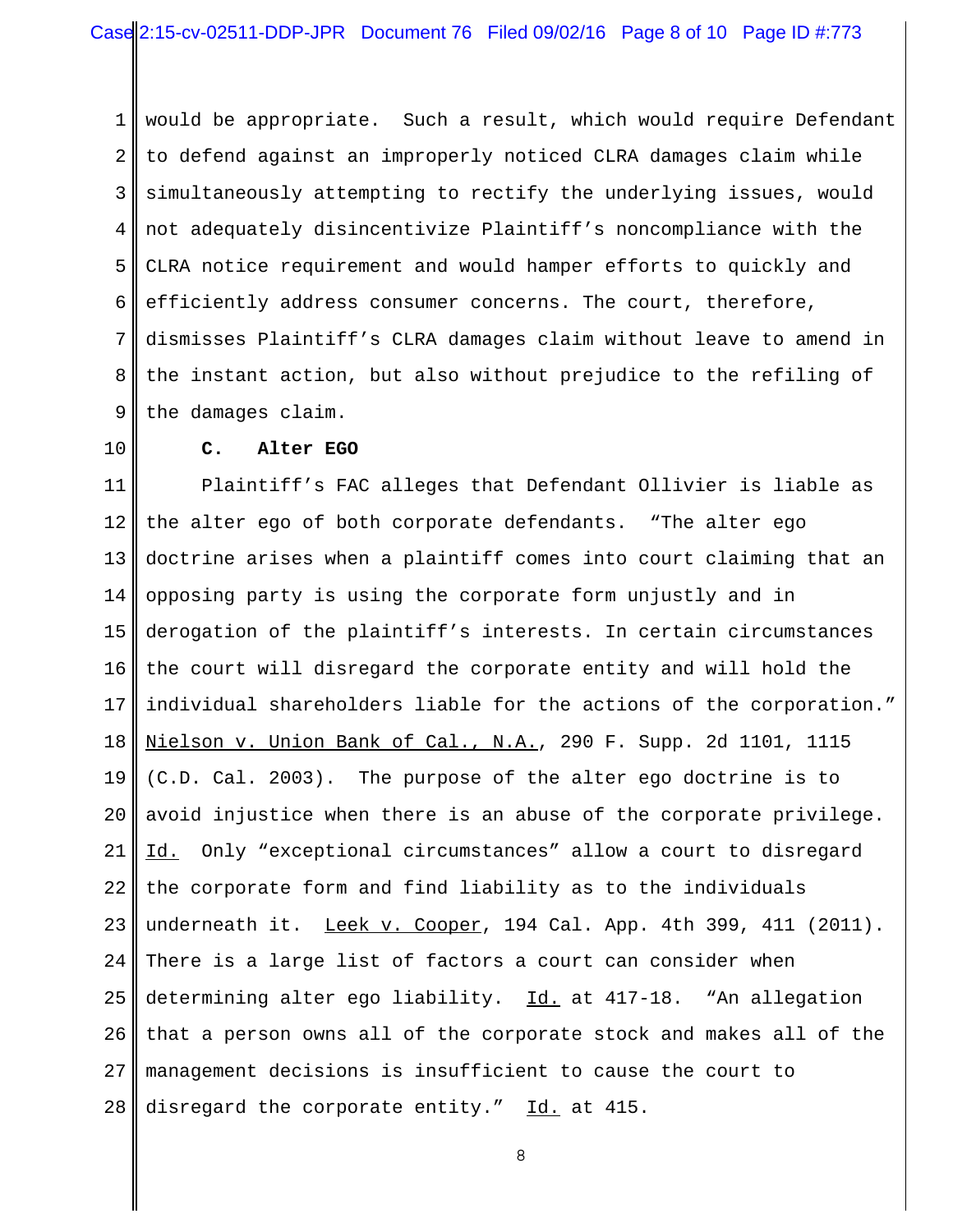1 2 3 4 5 6 7 8 9 would be appropriate. Such a result, which would require Defendant to defend against an improperly noticed CLRA damages claim while simultaneously attempting to rectify the underlying issues, would not adequately disincentivize Plaintiff's noncompliance with the CLRA notice requirement and would hamper efforts to quickly and efficiently address consumer concerns. The court, therefore, dismisses Plaintiff's CLRA damages claim without leave to amend in the instant action, but also without prejudice to the refiling of the damages claim.

10

### **C. Alter EGO**

11 12 13 14 15 16 17 18 19 20 21 22 23 24 25 26 27 28 Plaintiff's FAC alleges that Defendant Ollivier is liable as the alter ego of both corporate defendants. "The alter ego doctrine arises when a plaintiff comes into court claiming that an opposing party is using the corporate form unjustly and in derogation of the plaintiff's interests. In certain circumstances the court will disregard the corporate entity and will hold the individual shareholders liable for the actions of the corporation." Nielson v. Union Bank of Cal., N.A., 290 F. Supp. 2d 1101, 1115 (C.D. Cal. 2003). The purpose of the alter ego doctrine is to avoid injustice when there is an abuse of the corporate privilege. Id. Only "exceptional circumstances" allow a court to disregard the corporate form and find liability as to the individuals underneath it. Leek v. Cooper, 194 Cal. App. 4th 399, 411 (2011). There is a large list of factors a court can consider when determining alter ego liability. Id. at 417-18. "An allegation that a person owns all of the corporate stock and makes all of the management decisions is insufficient to cause the court to disregard the corporate entity." Id. at 415.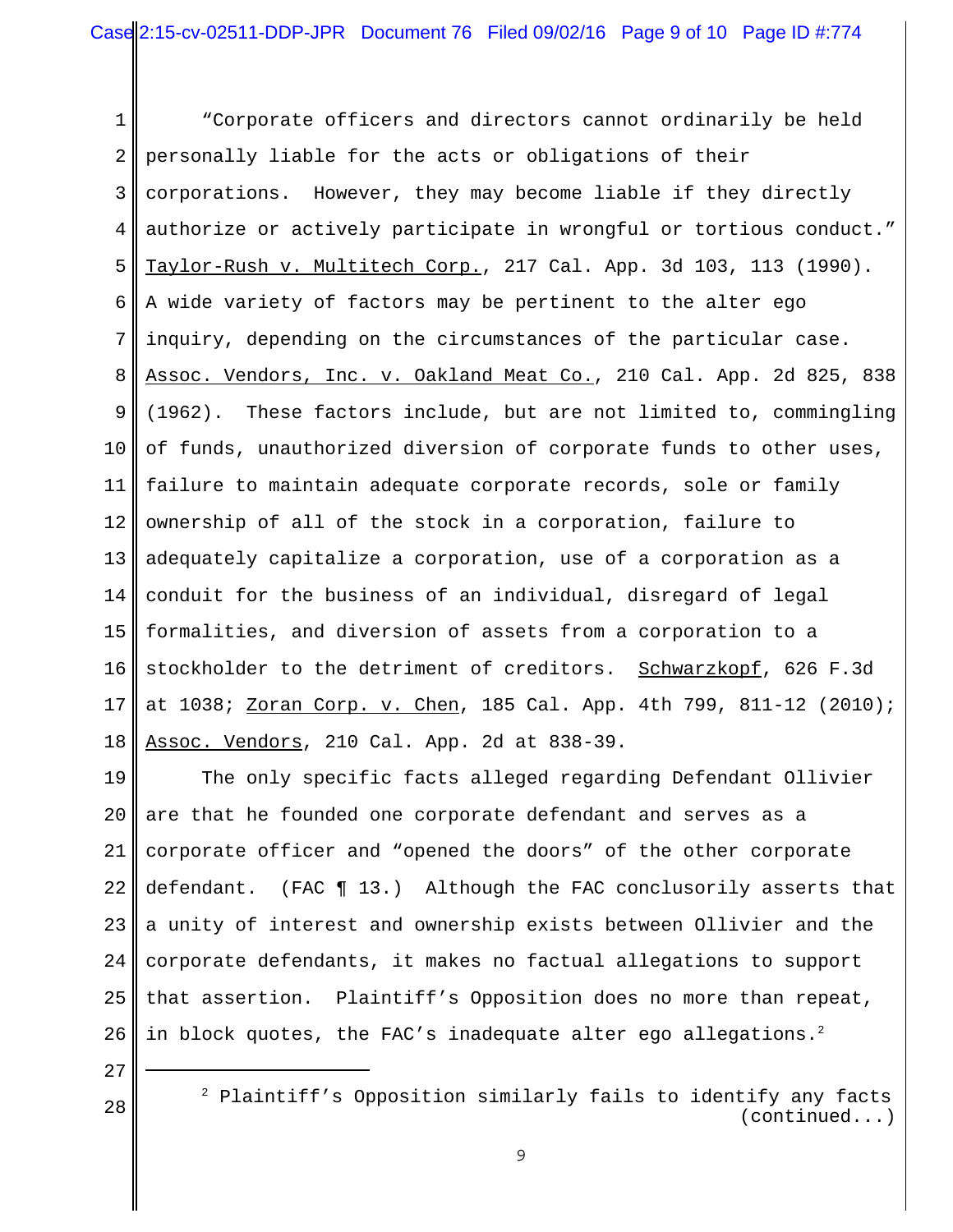1 2 3 4 5 6 7 8 9 10 11 12 13 14 15 16 17 18 "Corporate officers and directors cannot ordinarily be held personally liable for the acts or obligations of their corporations. However, they may become liable if they directly authorize or actively participate in wrongful or tortious conduct." Taylor-Rush v. Multitech Corp., 217 Cal. App. 3d 103, 113 (1990). A wide variety of factors may be pertinent to the alter ego inquiry, depending on the circumstances of the particular case. Assoc. Vendors, Inc. v. Oakland Meat Co., 210 Cal. App. 2d 825, 838 (1962). These factors include, but are not limited to, commingling of funds, unauthorized diversion of corporate funds to other uses, failure to maintain adequate corporate records, sole or family ownership of all of the stock in a corporation, failure to adequately capitalize a corporation, use of a corporation as a conduit for the business of an individual, disregard of legal formalities, and diversion of assets from a corporation to a stockholder to the detriment of creditors. Schwarzkopf, 626 F.3d at 1038; <u>Zoran Corp. v. Chen</u>, 185 Cal. App. 4th 799, 811-12 (2010); Assoc. Vendors, 210 Cal. App. 2d at 838-39.

19 20 21 22 23 24 25 26 The only specific facts alleged regarding Defendant Ollivier are that he founded one corporate defendant and serves as a corporate officer and "opened the doors" of the other corporate defendant. (FAC ¶ 13.) Although the FAC conclusorily asserts that a unity of interest and ownership exists between Ollivier and the corporate defendants, it makes no factual allegations to support that assertion. Plaintiff's Opposition does no more than repeat, in block quotes, the FAC's inadequate alter ego allegations.<sup>2</sup>

27

<sup>2</sup> Plaintiff's Opposition similarly fails to identify any facts (continued...)